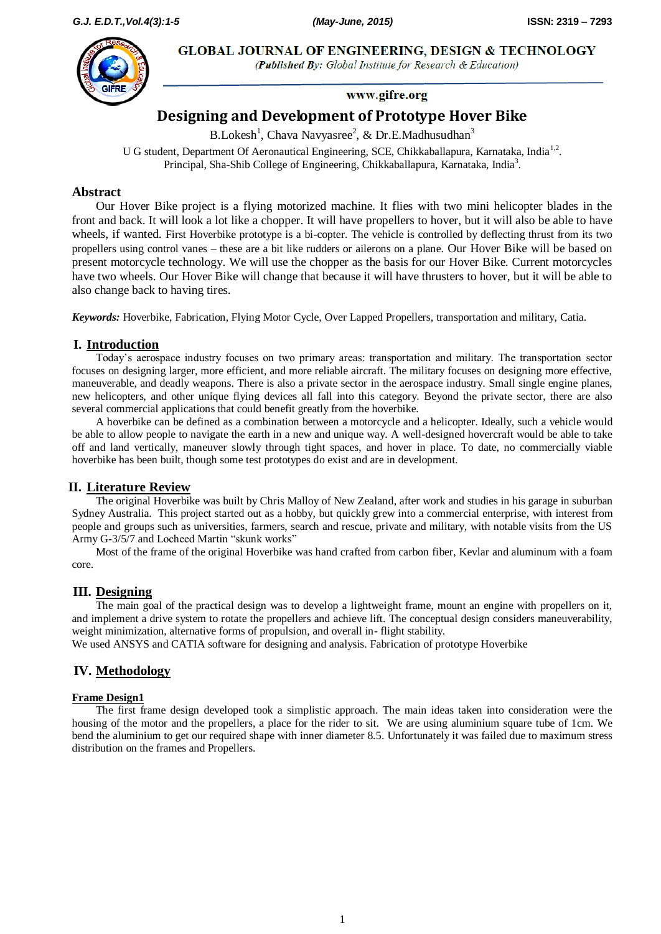**GLOBAL JOURNAL OF ENGINEERING, DESIGN & TECHNOLOGY** 



(Published By: Global Institute for Research & Education)

# www.gifre.org

# **Designing and Development of Prototype Hover Bike**

B.Lokesh<sup>1</sup>, Chava Navyasree<sup>2</sup>, & Dr.E.Madhusudhan<sup>3</sup>

U G student, Department Of Aeronautical Engineering, SCE, Chikkaballapura, Karnataka, India<sup>1,2</sup>. Principal, Sha-Shib College of Engineering, Chikkaballapura, Karnataka, India<sup>3</sup>.

### **Abstract**

Our Hover Bike project is a flying motorized machine. It flies with two mini helicopter blades in the front and back. It will look a lot like a chopper. It will have propellers to hover, but it will also be able to have wheels, if wanted. First Hoverbike prototype is a bi-copter. The vehicle is controlled by deflecting thrust from its two propellers using control vanes – these are a bit like rudders or ailerons on a plane. Our Hover Bike will be based on present motorcycle technology. We will use the chopper as the basis for our Hover Bike. Current motorcycles have two wheels. Our Hover Bike will change that because it will have thrusters to hover, but it will be able to also change back to having tires.

*Keywords:* Hoverbike, Fabrication, Flying Motor Cycle, Over Lapped Propellers, transportation and military, Catia.

#### **I. Introduction**

Today's aerospace industry focuses on two primary areas: transportation and military. The transportation sector focuses on designing larger, more efficient, and more reliable aircraft. The military focuses on designing more effective, maneuverable, and deadly weapons. There is also a private sector in the aerospace industry. Small single engine planes, new helicopters, and other unique flying devices all fall into this category. Beyond the private sector, there are also several commercial applications that could benefit greatly from the hoverbike.

A hoverbike can be defined as a combination between a motorcycle and a helicopter. Ideally, such a vehicle would be able to allow people to navigate the earth in a new and unique way. A well-designed hovercraft would be able to take off and land vertically, maneuver slowly through tight spaces, and hover in place. To date, no commercially viable hoverbike has been built, though some test prototypes do exist and are in development.

### **II. Literature Review**

The original Hoverbike was built by Chris Malloy of New Zealand, after work and studies in his garage in suburban Sydney Australia. This project started out as a hobby, but quickly grew into a commercial enterprise, with interest from people and groups such as universities, farmers, search and rescue, private and military, with notable visits from the US Army G-3/5/7 and Locheed Martin "skunk works"

Most of the frame of the original Hoverbike was hand crafted from carbon fiber, Kevlar and aluminum with a foam core.

#### **III. Designing**

The main goal of the practical design was to develop a lightweight frame, mount an engine with propellers on it, and implement a drive system to rotate the propellers and achieve lift. The conceptual design considers maneuverability, weight minimization, alternative forms of propulsion, and overall in- flight stability.

We used ANSYS and CATIA software for designing and analysis. Fabrication of prototype Hoverbike

### **IV. Methodology**

#### **Frame Design1**

The first frame design developed took a simplistic approach. The main ideas taken into consideration were the housing of the motor and the propellers, a place for the rider to sit. We are using aluminium square tube of 1cm. We bend the aluminium to get our required shape with inner diameter 8.5. Unfortunately it was failed due to maximum stress distribution on the frames and Propellers.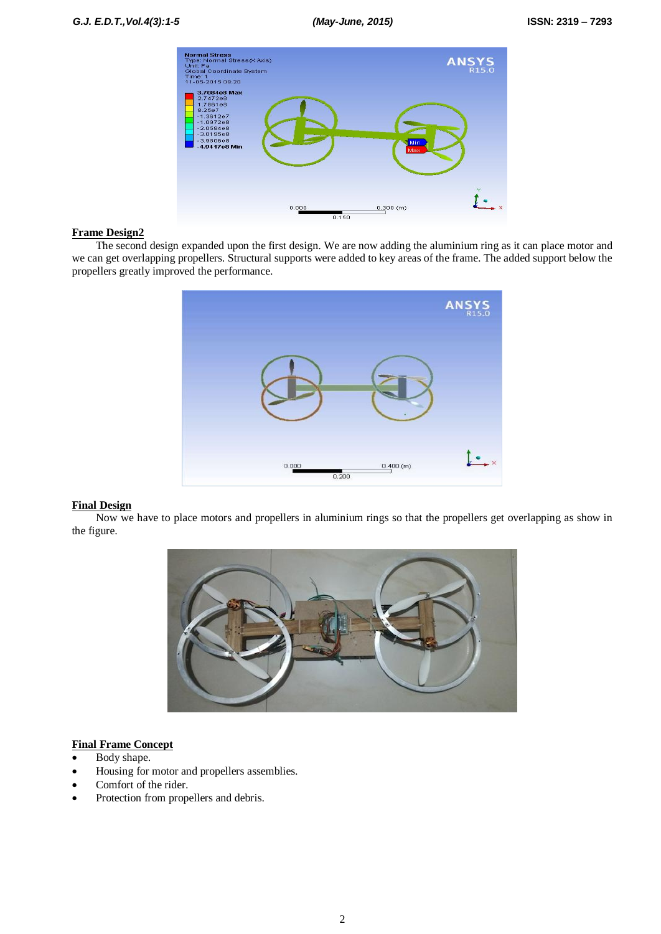

#### **Frame Design2**

The second design expanded upon the first design. We are now adding the aluminium ring as it can place motor and we can get overlapping propellers. Structural supports were added to key areas of the frame. The added support below the propellers greatly improved the performance.



#### **Final Design**

Now we have to place motors and propellers in aluminium rings so that the propellers get overlapping as show in the figure.



### **Final Frame Concept**

- Body shape.
- Housing for motor and propellers assemblies.
- Comfort of the rider.
- Protection from propellers and debris.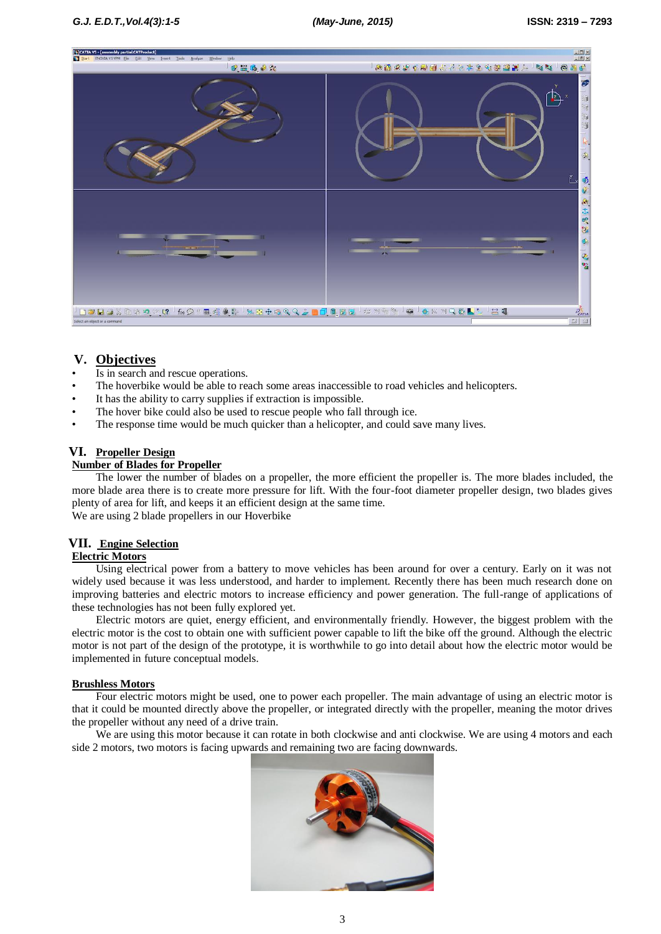

# **V. Objectives**

- Is in search and rescue operations.
- The hoverbike would be able to reach some areas inaccessible to road vehicles and helicopters.
- It has the ability to carry supplies if extraction is impossible.
- The hover bike could also be used to rescue people who fall through ice.
- The response time would be much quicker than a helicopter, and could save many lives.

### **VI. Propeller Design**

#### **Number of Blades for Propeller**

The lower the number of blades on a propeller, the more efficient the propeller is. The more blades included, the more blade area there is to create more pressure for lift. With the four-foot diameter propeller design, two blades gives plenty of area for lift, and keeps it an efficient design at the same time. We are using 2 blade propellers in our Hoverbike

### **VII. Engine Selection**

#### **Electric Motors**

Using electrical power from a battery to move vehicles has been around for over a century. Early on it was not widely used because it was less understood, and harder to implement. Recently there has been much research done on improving batteries and electric motors to increase efficiency and power generation. The full-range of applications of these technologies has not been fully explored yet.

Electric motors are quiet, energy efficient, and environmentally friendly. However, the biggest problem with the electric motor is the cost to obtain one with sufficient power capable to lift the bike off the ground. Although the electric motor is not part of the design of the prototype, it is worthwhile to go into detail about how the electric motor would be implemented in future conceptual models.

#### **Brushless Motors**

Four electric motors might be used, one to power each propeller. The main advantage of using an electric motor is that it could be mounted directly above the propeller, or integrated directly with the propeller, meaning the motor drives the propeller without any need of a drive train.

We are using this motor because it can rotate in both clockwise and anti clockwise. We are using 4 motors and each side 2 motors, two motors is facing upwards and remaining two are facing downwards.

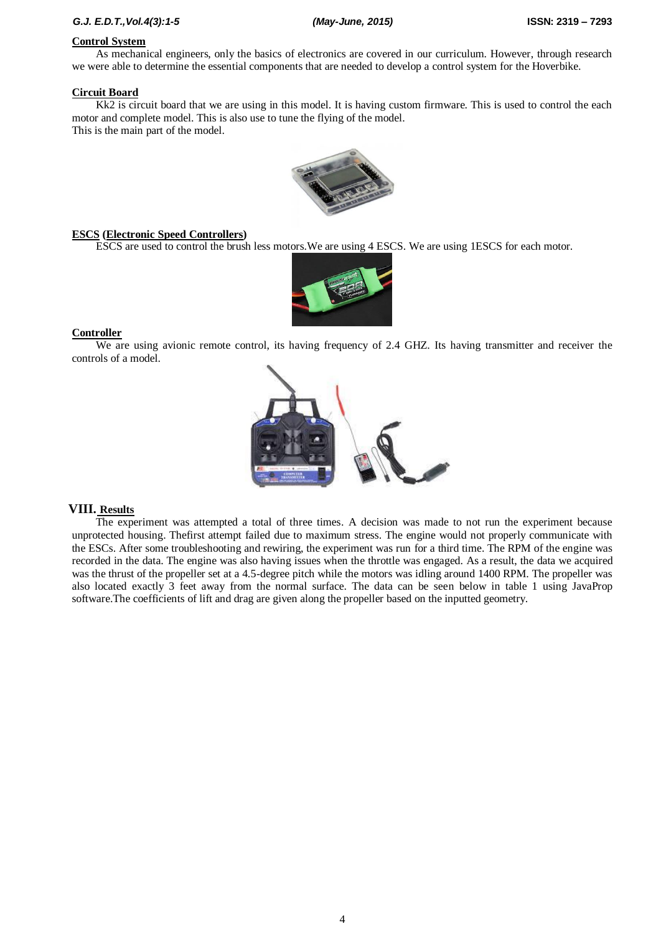### *G.J. E.D.T.,Vol.4(3):1-5 (May-June, 2015)* **ISSN: 2319 – 7293**

# **Control System**

As mechanical engineers, only the basics of electronics are covered in our curriculum. However, through research we were able to determine the essential components that are needed to develop a control system for the Hoverbike.

#### **Circuit Board**

Kk2 is circuit board that we are using in this model. It is having custom firmware. This is used to control the each motor and complete model. This is also use to tune the flying of the model. This is the main part of the model.



#### **ESCS (Electronic Speed Controllers)**

ESCS are used to control the brush less motors.We are using 4 ESCS. We are using 1ESCS for each motor.



### **Controller**

We are using avionic remote control, its having frequency of 2.4 GHZ. Its having transmitter and receiver the controls of a model.



## **VIII. Results**

The experiment was attempted a total of three times. A decision was made to not run the experiment because unprotected housing. Thefirst attempt failed due to maximum stress. The engine would not properly communicate with the ESCs. After some troubleshooting and rewiring, the experiment was run for a third time. The RPM of the engine was recorded in the data. The engine was also having issues when the throttle was engaged. As a result, the data we acquired was the thrust of the propeller set at a 4.5-degree pitch while the motors was idling around 1400 RPM. The propeller was also located exactly 3 feet away from the normal surface. The data can be seen below in table 1 using JavaProp software.The coefficients of lift and drag are given along the propeller based on the inputted geometry.